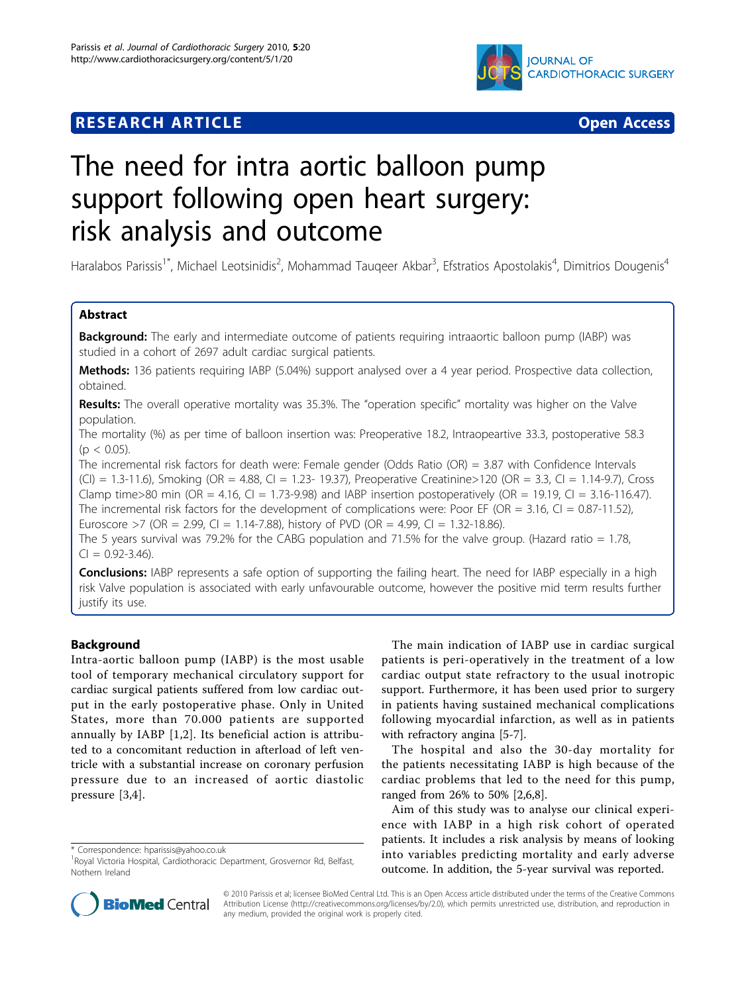# **RESEARCH ARTICLE Example 2014 CONSUMING ACCESS**



# The need for intra aortic balloon pump support following open heart surgery: risk analysis and outcome

Haralabos Parissis<sup>1\*</sup>, Michael Leotsinidis<sup>2</sup>, Mohammad Tauqeer Akbar<sup>3</sup>, Efstratios Apostolakis<sup>4</sup>, Dimitrios Dougenis<sup>4</sup>

# Abstract

Background: The early and intermediate outcome of patients requiring intraaortic balloon pump (IABP) was studied in a cohort of 2697 adult cardiac surgical patients.

Methods: 136 patients requiring IABP (5.04%) support analysed over a 4 year period. Prospective data collection, obtained.

Results: The overall operative mortality was 35.3%. The "operation specific" mortality was higher on the Valve population.

The mortality (%) as per time of balloon insertion was: Preoperative 18.2, Intraopeartive 33.3, postoperative 58.3  $(p < 0.05)$ .

The incremental risk factors for death were: Female gender (Odds Ratio (OR) = 3.87 with Confidence Intervals (CI) = 1.3-11.6), Smoking (OR = 4.88, CI = 1.23- 19.37), Preoperative Creatinine>120 (OR = 3.3, CI = 1.14-9.7), Cross Clamp time>80 min (OR = 4.16, CI = 1.73-9.98) and IABP insertion postoperatively (OR = 19.19, CI = 3.16-116.47). The incremental risk factors for the development of complications were: Poor EF (OR = 3.16, CI = 0.87-11.52), Euroscore >7 (OR = 2.99, CI = 1.14-7.88), history of PVD (OR = 4.99, CI = 1.32-18.86).

The 5 years survival was 79.2% for the CABG population and 71.5% for the valve group. (Hazard ratio  $= 1.78$ ,  $Cl = 0.92 - 3.46$ .

**Conclusions:** IABP represents a safe option of supporting the failing heart. The need for IABP especially in a high risk Valve population is associated with early unfavourable outcome, however the positive mid term results further justify its use.

# Background

Intra-aortic balloon pump (IABP) is the most usable tool of temporary mechanical circulatory support for cardiac surgical patients suffered from low cardiac output in the early postoperative phase. Only in United States, more than 70.000 patients are supported annually by IABP [[1,2](#page-6-0)]. Its beneficial action is attributed to a concomitant reduction in afterload of left ventricle with a substantial increase on coronary perfusion pressure due to an increased of aortic diastolic pressure [\[3,4](#page-6-0)].

\* Correspondence: [hparissis@yahoo.co.uk](mailto:hparissis@yahoo.co.uk)

The main indication of IABP use in cardiac surgical patients is peri-operatively in the treatment of a low cardiac output state refractory to the usual inotropic support. Furthermore, it has been used prior to surgery in patients having sustained mechanical complications following myocardial infarction, as well as in patients with refractory angina [[5-7](#page-6-0)].

The hospital and also the 30-day mortality for the patients necessitating IABP is high because of the cardiac problems that led to the need for this pump, ranged from 26% to 50% [[2,6,8\]](#page-6-0).

Aim of this study was to analyse our clinical experience with IABP in a high risk cohort of operated patients. It includes a risk analysis by means of looking into variables predicting mortality and early adverse outcome. In addition, the 5-year survival was reported.



© 2010 Parissis et al; licensee BioMed Central Ltd. This is an Open Access article distributed under the terms of the Creative Commons Attribution License [\(http://creativecommons.org/licenses/by/2.0](http://creativecommons.org/licenses/by/2.0)), which permits unrestricted use, distribution, and reproduction in any medium, provided the original work is properly cited.

<sup>&</sup>lt;sup>1</sup> Royal Victoria Hospital, Cardiothoracic Department, Grosvernor Rd, Belfast, Nothern Ireland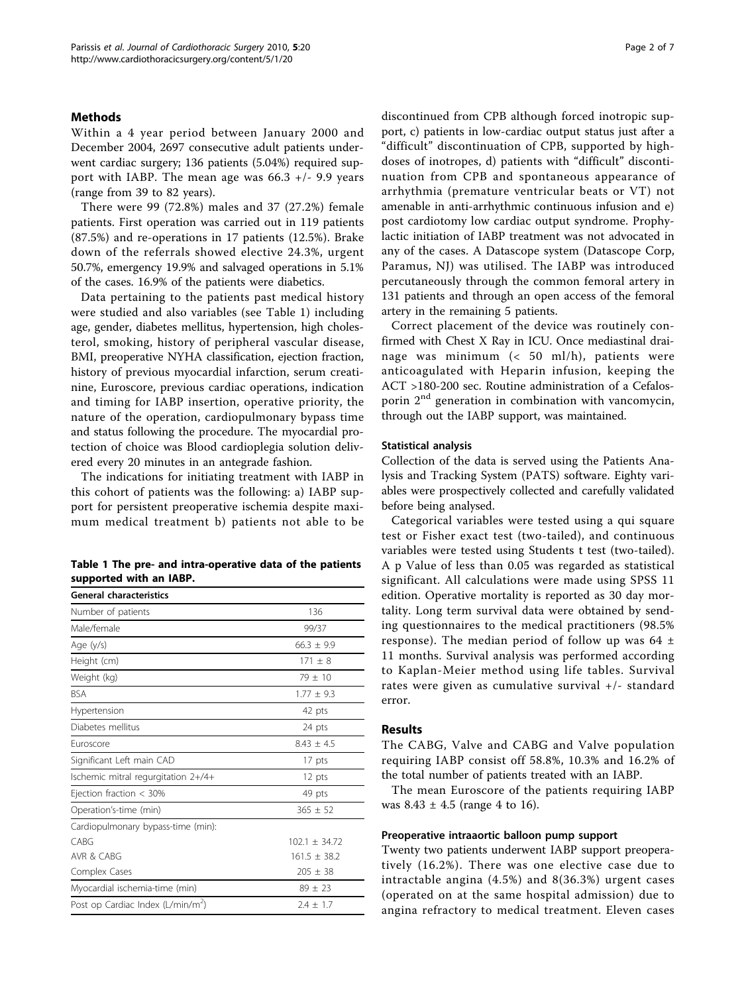#### Methods

Within a 4 year period between January 2000 and December 2004, 2697 consecutive adult patients underwent cardiac surgery; 136 patients (5.04%) required support with IABP. The mean age was  $66.3 +/- 9.9$  years (range from 39 to 82 years).

There were 99 (72.8%) males and 37 (27.2%) female patients. First operation was carried out in 119 patients (87.5%) and re-operations in 17 patients (12.5%). Brake down of the referrals showed elective 24.3%, urgent 50.7%, emergency 19.9% and salvaged operations in 5.1% of the cases. 16.9% of the patients were diabetics.

Data pertaining to the patients past medical history were studied and also variables (see Table 1) including age, gender, diabetes mellitus, hypertension, high cholesterol, smoking, history of peripheral vascular disease, BMI, preoperative NYHA classification, ejection fraction, history of previous myocardial infarction, serum creatinine, Euroscore, previous cardiac operations, indication and timing for IABP insertion, operative priority, the nature of the operation, cardiopulmonary bypass time and status following the procedure. The myocardial protection of choice was Blood cardioplegia solution delivered every 20 minutes in an antegrade fashion.

The indications for initiating treatment with IABP in this cohort of patients was the following: a) IABP support for persistent preoperative ischemia despite maximum medical treatment b) patients not able to be

| Table 1 The pre- and intra-operative data of the patients |  |  |
|-----------------------------------------------------------|--|--|
| supported with an IABP.                                   |  |  |

| <b>General characteristics</b>                |                 |  |  |  |
|-----------------------------------------------|-----------------|--|--|--|
| Number of patients                            | 136             |  |  |  |
| Male/female                                   | 99/37           |  |  |  |
| Age (y/s)                                     | $66.3 \pm 9.9$  |  |  |  |
| Height (cm)                                   | $171 + 8$       |  |  |  |
| Weight (kg)                                   | $79 \pm 10$     |  |  |  |
| <b>BSA</b>                                    | $1.77 + 9.3$    |  |  |  |
| Hypertension                                  | 42 pts          |  |  |  |
| Diabetes mellitus                             | 24 pts          |  |  |  |
| <b>Furoscore</b>                              | $8.43 + 4.5$    |  |  |  |
| Significant Left main CAD                     | 17 pts          |  |  |  |
| Ischemic mitral regurgitation 2+/4+           | 12 pts          |  |  |  |
| Ejection fraction $<$ 30%                     | 49 pts          |  |  |  |
| Operation's-time (min)                        | $365 \pm 52$    |  |  |  |
| Cardiopulmonary bypass-time (min):            |                 |  |  |  |
| CABG                                          | $102.1 + 34.72$ |  |  |  |
| AVR & CABG                                    | $161.5 + 38.2$  |  |  |  |
| Complex Cases                                 | $205 \pm 38$    |  |  |  |
| Myocardial ischemia-time (min)                | $89 \pm 23$     |  |  |  |
| Post op Cardiac Index (L/min/m <sup>2</sup> ) | $2.4 + 1.7$     |  |  |  |

discontinued from CPB although forced inotropic support, c) patients in low-cardiac output status just after a "difficult" discontinuation of CPB, supported by highdoses of inotropes, d) patients with "difficult" discontinuation from CPB and spontaneous appearance of arrhythmia (premature ventricular beats or VT) not amenable in anti-arrhythmic continuous infusion and e) post cardiotomy low cardiac output syndrome. Prophylactic initiation of IABP treatment was not advocated in any of the cases. A Datascope system (Datascope Corp, Paramus, NJ) was utilised. The IABP was introduced percutaneously through the common femoral artery in 131 patients and through an open access of the femoral artery in the remaining 5 patients.

Correct placement of the device was routinely confirmed with Chest X Ray in ICU. Once mediastinal drainage was minimum (< 50 ml/h), patients were anticoagulated with Heparin infusion, keeping the ACT >180-200 sec. Routine administration of a Cefalosporin  $2<sup>nd</sup>$  generation in combination with vancomycin, through out the IABP support, was maintained.

#### Statistical analysis

Collection of the data is served using the Patients Analysis and Tracking System (PATS) software. Eighty variables were prospectively collected and carefully validated before being analysed.

Categorical variables were tested using a qui square test or Fisher exact test (two-tailed), and continuous variables were tested using Students t test (two-tailed). A p Value of less than 0.05 was regarded as statistical significant. All calculations were made using SPSS 11 edition. Operative mortality is reported as 30 day mortality. Long term survival data were obtained by sending questionnaires to the medical practitioners (98.5% response). The median period of follow up was 64 ± 11 months. Survival analysis was performed according to Kaplan-Meier method using life tables. Survival rates were given as cumulative survival +/- standard error.

#### Results

The CABG, Valve and CABG and Valve population requiring IABP consist off 58.8%, 10.3% and 16.2% of the total number of patients treated with an IABP.

The mean Euroscore of the patients requiring IABP was  $8.43 \pm 4.5$  (range 4 to 16).

#### Preoperative intraaortic balloon pump support

Twenty two patients underwent IABP support preoperatively (16.2%). There was one elective case due to intractable angina (4.5%) and 8(36.3%) urgent cases (operated on at the same hospital admission) due to angina refractory to medical treatment. Eleven cases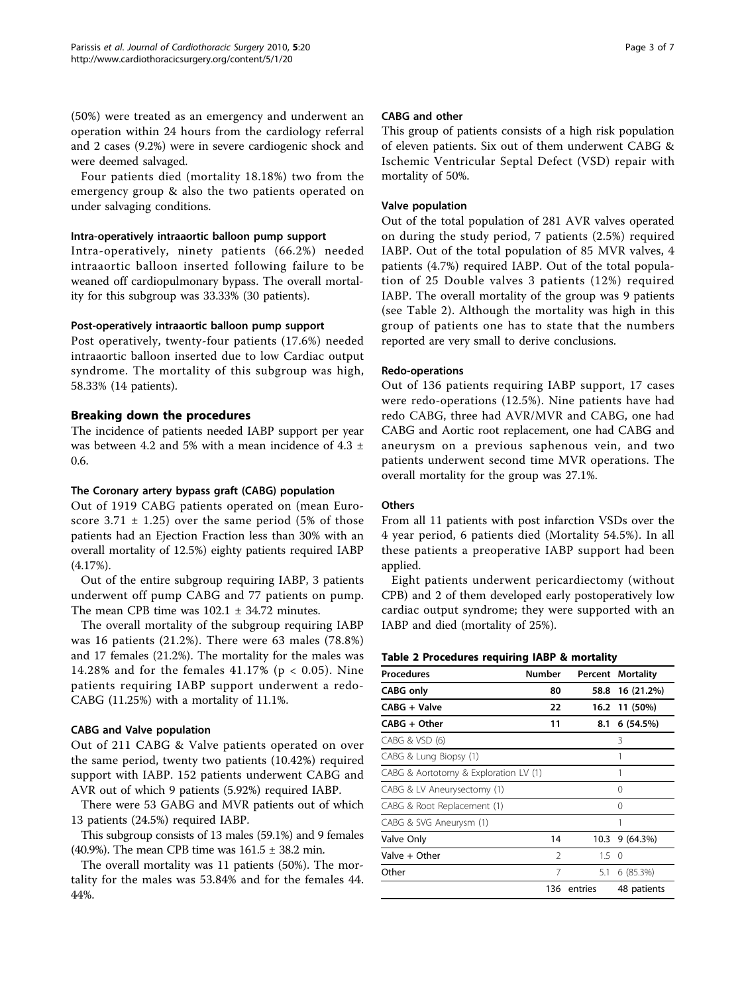Four patients died (mortality 18.18%) two from the emergency group & also the two patients operated on under salvaging conditions.

#### Intra-operatively intraaortic balloon pump support

Intra-operatively, ninety patients (66.2%) needed intraaortic balloon inserted following failure to be weaned off cardiopulmonary bypass. The overall mortality for this subgroup was 33.33% (30 patients).

#### Post-operatively intraaortic balloon pump support

Post operatively, twenty-four patients (17.6%) needed intraaortic balloon inserted due to low Cardiac output syndrome. The mortality of this subgroup was high, 58.33% (14 patients).

# Breaking down the procedures

The incidence of patients needed IABP support per year was between 4.2 and 5% with a mean incidence of 4.3  $\pm$ 0.6.

# The Coronary artery bypass graft (CABG) population

Out of 1919 CABG patients operated on (mean Euroscore  $3.71 \pm 1.25$ ) over the same period (5% of those patients had an Ejection Fraction less than 30% with an overall mortality of 12.5%) eighty patients required IABP (4.17%).

Out of the entire subgroup requiring IABP, 3 patients underwent off pump CABG and 77 patients on pump. The mean CPB time was  $102.1 \pm 34.72$  minutes.

The overall mortality of the subgroup requiring IABP was 16 patients (21.2%). There were 63 males (78.8%) and 17 females (21.2%). The mortality for the males was 14.28% and for the females 41.17% (p < 0.05). Nine patients requiring IABP support underwent a redo-CABG (11.25%) with a mortality of 11.1%.

# CABG and Valve population

Out of 211 CABG & Valve patients operated on over the same period, twenty two patients (10.42%) required support with IABP. 152 patients underwent CABG and AVR out of which 9 patients (5.92%) required IABP.

There were 53 GABG and MVR patients out of which 13 patients (24.5%) required IABP.

This subgroup consists of 13 males (59.1%) and 9 females (40.9%). The mean CPB time was  $161.5 \pm 38.2$  min.

The overall mortality was 11 patients (50%). The mortality for the males was 53.84% and for the females 44. 44%.

#### CABG and other

This group of patients consists of a high risk population of eleven patients. Six out of them underwent CABG & Ischemic Ventricular Septal Defect (VSD) repair with mortality of 50%.

# Valve population

Out of the total population of 281 AVR valves operated on during the study period, 7 patients (2.5%) required IABP. Out of the total population of 85 MVR valves, 4 patients (4.7%) required IABP. Out of the total population of 25 Double valves 3 patients (12%) required IABP. The overall mortality of the group was 9 patients (see Table 2). Although the mortality was high in this group of patients one has to state that the numbers reported are very small to derive conclusions.

#### Redo-operations

Out of 136 patients requiring IABP support, 17 cases were redo-operations (12.5%). Nine patients have had redo CABG, three had AVR/MVR and CABG, one had CABG and Aortic root replacement, one had CABG and aneurysm on a previous saphenous vein, and two patients underwent second time MVR operations. The overall mortality for the group was 27.1%.

# **Others**

From all 11 patients with post infarction VSDs over the 4 year period, 6 patients died (Mortality 54.5%). In all these patients a preoperative IABP support had been applied.

Eight patients underwent pericardiectomy (without CPB) and 2 of them developed early postoperatively low cardiac output syndrome; they were supported with an IABP and died (mortality of 25%).

#### Table 2 Procedures requiring IABP & mortality

| <b>Number</b><br><b>Procedures</b>    |     |         | <b>Percent Mortality</b> |  |
|---------------------------------------|-----|---------|--------------------------|--|
| <b>CABG</b> only                      | 80  | 58.8    | 16 (21.2%)               |  |
| CABG + Valve                          | 22  | 16.2    | 11 (50%)                 |  |
| $CABG + Other$                        | 11  | 8.1     | 6(54.5%)                 |  |
| CABG & VSD (6)                        |     |         | 3                        |  |
| CABG & Lung Biopsy (1)                |     |         |                          |  |
| CABG & Aortotomy & Exploration LV (1) |     |         |                          |  |
| CABG & LV Aneurysectomy (1)           |     |         | 0                        |  |
| CABG & Root Replacement (1)           |     |         | 0                        |  |
| CABG & SVG Aneurysm (1)               |     |         | 1                        |  |
| Valve Only                            | 14  | 10.3    | 9(64.3%)                 |  |
| Valve + Other                         | 2   | 1.5     | $\Omega$                 |  |
| Other                                 | 7   | 5.1     | 6 (85.3%)                |  |
|                                       | 136 | entries | 48 patients              |  |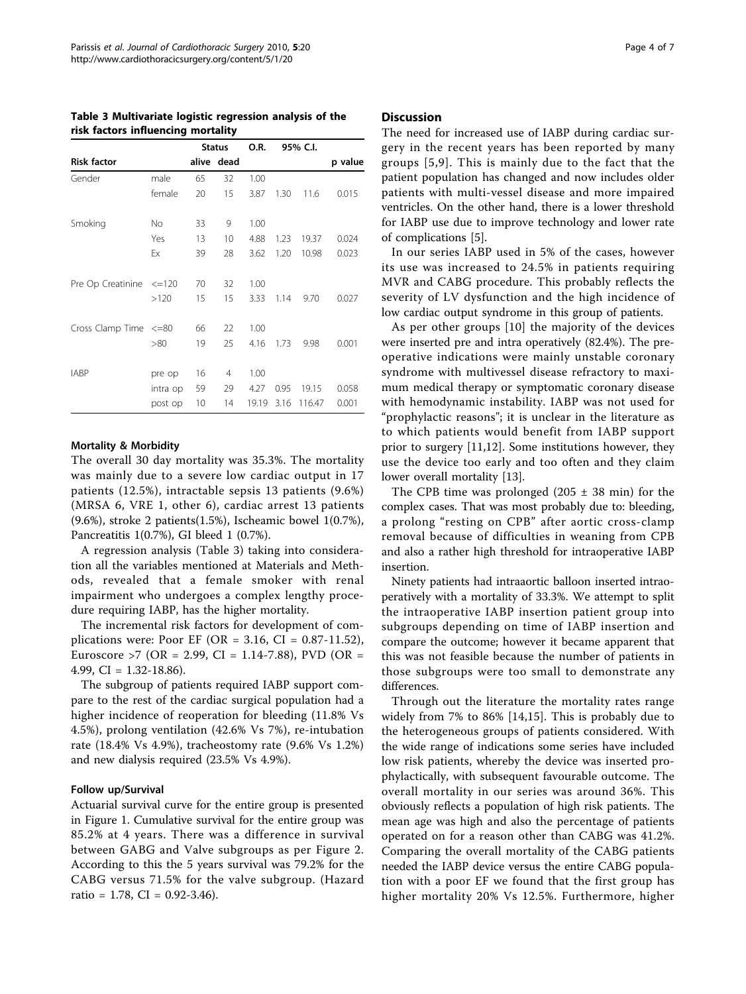|                               |          | <b>Status</b> |            | O.R.  | 95% C.I. |        |         |
|-------------------------------|----------|---------------|------------|-------|----------|--------|---------|
| <b>Risk factor</b>            |          |               | alive dead |       |          |        | p value |
| Gender                        | male     | 65            | 32         | 1.00  |          |        |         |
|                               | female   | 20            | 15         | 3.87  | 1.30     | 11.6   | 0.015   |
| Smoking                       | No.      | 33            | 9          | 1.00  |          |        |         |
|                               | Yes      | 13            | 10         | 4.88  | 1.23     | 19.37  | 0.024   |
|                               | Ex       | 39            | 28         | 3.62  | 1.20     | 10.98  | 0.023   |
| Pre Op Creatinine $\leq$ =120 |          | 70            | 32         | 1.00  |          |        |         |
|                               | >120     | 15            | 15         | 3.33  | 1.14     | 9.70   | 0.027   |
| Cross Clamp Time <= 80        |          | 66            | 22         | 1.00  |          |        |         |
|                               | > 80     | 19            | 25         | 4.16  | 1.73     | 9.98   | 0.001   |
| <b>IABP</b>                   | pre op   | 16            | 4          | 1.00  |          |        |         |
|                               | intra op | 59            | 29         | 4.27  | 0.95     | 19.15  | 0.058   |
|                               | post op  | 10            | 14         | 19.19 | 3.16     | 116.47 | 0.001   |

Table 3 Multivariate logistic regression analysis of the risk factors influencing mortality

#### Mortality & Morbidity

The overall 30 day mortality was 35.3%. The mortality was mainly due to a severe low cardiac output in 17 patients (12.5%), intractable sepsis 13 patients (9.6%) (MRSA 6, VRE 1, other 6), cardiac arrest 13 patients (9.6%), stroke 2 patients(1.5%), Ischeamic bowel 1(0.7%), Pancreatitis 1(0.7%), GI bleed 1 (0.7%).

A regression analysis (Table 3) taking into consideration all the variables mentioned at Materials and Methods, revealed that a female smoker with renal impairment who undergoes a complex lengthy procedure requiring IABP, has the higher mortality.

The incremental risk factors for development of complications were: Poor EF (OR = 3.16, CI = 0.87-11.52), Euroscore >7 (OR = 2.99, CI = 1.14-7.88), PVD (OR = 4.99, CI = 1.32-18.86).

The subgroup of patients required IABP support compare to the rest of the cardiac surgical population had a higher incidence of reoperation for bleeding (11.8% Vs 4.5%), prolong ventilation (42.6% Vs 7%), re-intubation rate (18.4% Vs 4.9%), tracheostomy rate (9.6% Vs 1.2%) and new dialysis required (23.5% Vs 4.9%).

#### Follow up/Survival

Actuarial survival curve for the entire group is presented in Figure [1](#page-4-0). Cumulative survival for the entire group was 85.2% at 4 years. There was a difference in survival between GABG and Valve subgroups as per Figure [2](#page-4-0). According to this the 5 years survival was 79.2% for the CABG versus 71.5% for the valve subgroup. (Hazard ratio = 1.78, CI =  $0.92-3.46$ ).

#### **Discussion**

The need for increased use of IABP during cardiac surgery in the recent years has been reported by many groups [[5](#page-6-0),[9](#page-6-0)]. This is mainly due to the fact that the patient population has changed and now includes older patients with multi-vessel disease and more impaired ventricles. On the other hand, there is a lower threshold for IABP use due to improve technology and lower rate of complications [[5\]](#page-6-0).

In our series IABP used in 5% of the cases, however its use was increased to 24.5% in patients requiring MVR and CABG procedure. This probably reflects the severity of LV dysfunction and the high incidence of low cardiac output syndrome in this group of patients.

As per other groups [[10\]](#page-6-0) the majority of the devices were inserted pre and intra operatively (82.4%). The preoperative indications were mainly unstable coronary syndrome with multivessel disease refractory to maximum medical therapy or symptomatic coronary disease with hemodynamic instability. IABP was not used for "prophylactic reasons"; it is unclear in the literature as to which patients would benefit from IABP support prior to surgery [\[11,12\]](#page-6-0). Some institutions however, they use the device too early and too often and they claim lower overall mortality [\[13\]](#page-6-0).

The CPB time was prolonged  $(205 \pm 38 \text{ min})$  for the complex cases. That was most probably due to: bleeding, a prolong "resting on CPB" after aortic cross-clamp removal because of difficulties in weaning from CPB and also a rather high threshold for intraoperative IABP insertion.

Ninety patients had intraaortic balloon inserted intraoperatively with a mortality of 33.3%. We attempt to split the intraoperative IABP insertion patient group into subgroups depending on time of IABP insertion and compare the outcome; however it became apparent that this was not feasible because the number of patients in those subgroups were too small to demonstrate any differences.

Through out the literature the mortality rates range widely from 7% to 86% [[14,15](#page-6-0)]. This is probably due to the heterogeneous groups of patients considered. With the wide range of indications some series have included low risk patients, whereby the device was inserted prophylactically, with subsequent favourable outcome. The overall mortality in our series was around 36%. This obviously reflects a population of high risk patients. The mean age was high and also the percentage of patients operated on for a reason other than CABG was 41.2%. Comparing the overall mortality of the CABG patients needed the IABP device versus the entire CABG population with a poor EF we found that the first group has higher mortality 20% Vs 12.5%. Furthermore, higher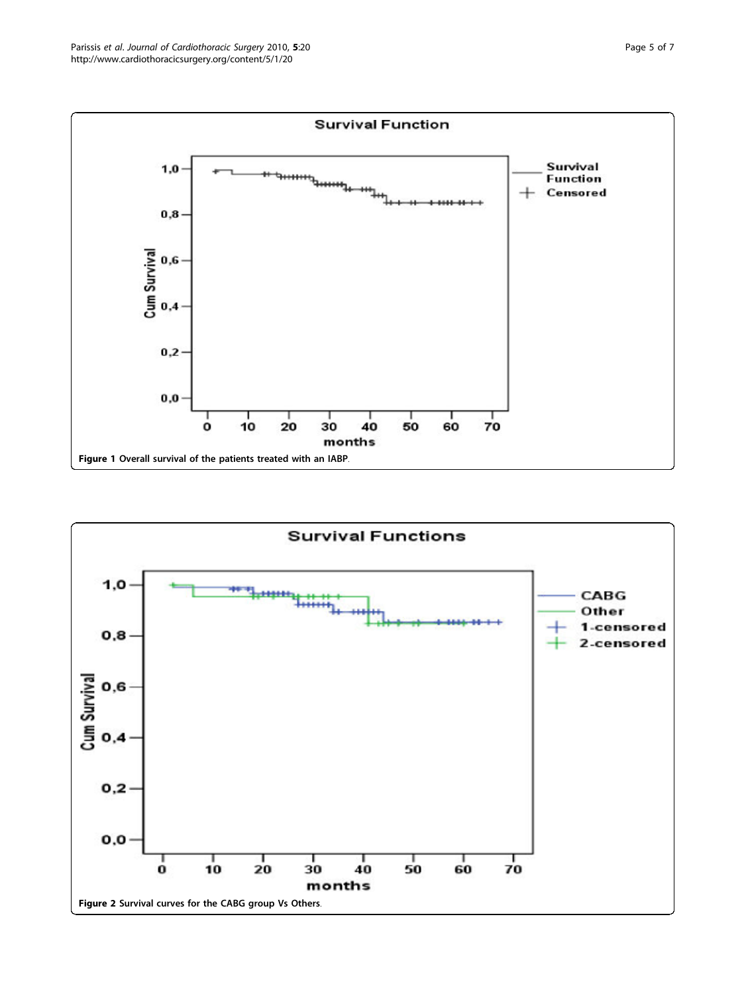<span id="page-4-0"></span>

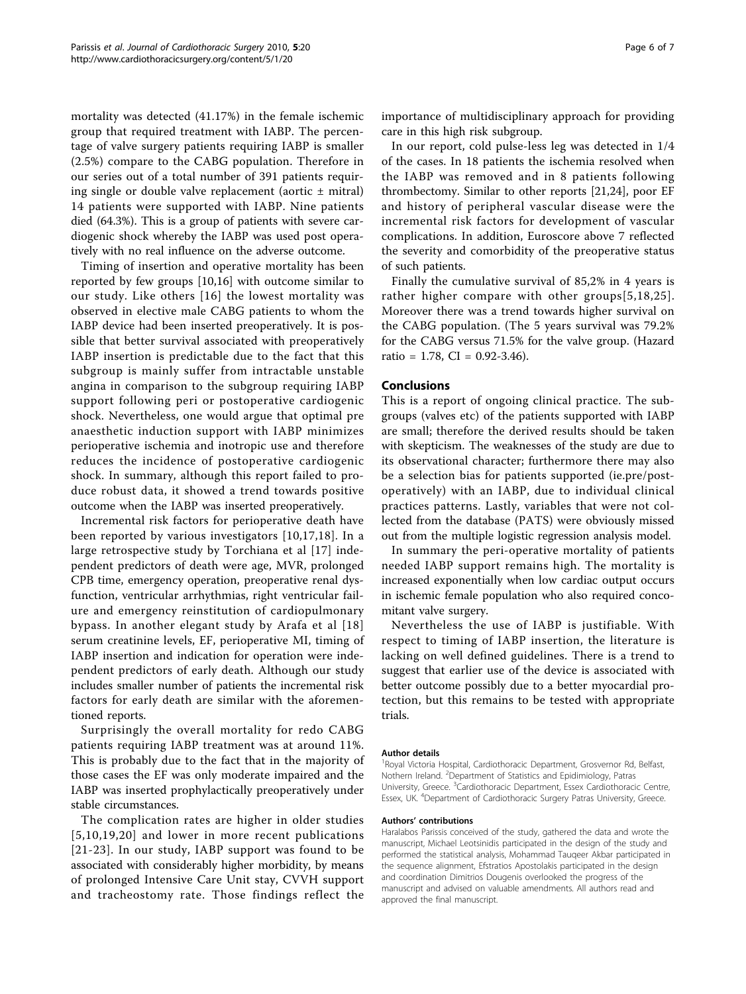mortality was detected (41.17%) in the female ischemic group that required treatment with IABP. The percentage of valve surgery patients requiring IABP is smaller (2.5%) compare to the CABG population. Therefore in our series out of a total number of 391 patients requiring single or double valve replacement (aortic  $\pm$  mitral) 14 patients were supported with IABP. Nine patients died (64.3%). This is a group of patients with severe cardiogenic shock whereby the IABP was used post operatively with no real influence on the adverse outcome.

Timing of insertion and operative mortality has been reported by few groups [[10,16](#page-6-0)] with outcome similar to our study. Like others [[16\]](#page-6-0) the lowest mortality was observed in elective male CABG patients to whom the IABP device had been inserted preoperatively. It is possible that better survival associated with preoperatively IABP insertion is predictable due to the fact that this subgroup is mainly suffer from intractable unstable angina in comparison to the subgroup requiring IABP support following peri or postoperative cardiogenic shock. Nevertheless, one would argue that optimal pre anaesthetic induction support with IABP minimizes perioperative ischemia and inotropic use and therefore reduces the incidence of postoperative cardiogenic shock. In summary, although this report failed to produce robust data, it showed a trend towards positive outcome when the IABP was inserted preoperatively.

Incremental risk factors for perioperative death have been reported by various investigators [[10](#page-6-0),[17,18](#page-6-0)]. In a large retrospective study by Torchiana et al [[17\]](#page-6-0) independent predictors of death were age, MVR, prolonged CPB time, emergency operation, preoperative renal dysfunction, ventricular arrhythmias, right ventricular failure and emergency reinstitution of cardiopulmonary bypass. In another elegant study by Arafa et al [[18](#page-6-0)] serum creatinine levels, EF, perioperative MI, timing of IABP insertion and indication for operation were independent predictors of early death. Although our study includes smaller number of patients the incremental risk factors for early death are similar with the aforementioned reports.

Surprisingly the overall mortality for redo CABG patients requiring IABP treatment was at around 11%. This is probably due to the fact that in the majority of those cases the EF was only moderate impaired and the IABP was inserted prophylactically preoperatively under stable circumstances.

The complication rates are higher in older studies [[5,10](#page-6-0),[19](#page-6-0),[20\]](#page-6-0) and lower in more recent publications [[21-23\]](#page-6-0). In our study, IABP support was found to be associated with considerably higher morbidity, by means of prolonged Intensive Care Unit stay, CVVH support and tracheostomy rate. Those findings reflect the importance of multidisciplinary approach for providing care in this high risk subgroup.

In our report, cold pulse-less leg was detected in 1/4 of the cases. In 18 patients the ischemia resolved when the IABP was removed and in 8 patients following thrombectomy. Similar to other reports [\[21,24\]](#page-6-0), poor EF and history of peripheral vascular disease were the incremental risk factors for development of vascular complications. In addition, Euroscore above 7 reflected the severity and comorbidity of the preoperative status of such patients.

Finally the cumulative survival of 85,2% in 4 years is rather higher compare with other groups[[5](#page-6-0),[18](#page-6-0),[25\]](#page-6-0). Moreover there was a trend towards higher survival on the CABG population. (The 5 years survival was 79.2% for the CABG versus 71.5% for the valve group. (Hazard ratio = 1.78, CI =  $0.92-3.46$ ).

#### Conclusions

This is a report of ongoing clinical practice. The subgroups (valves etc) of the patients supported with IABP are small; therefore the derived results should be taken with skepticism. The weaknesses of the study are due to its observational character; furthermore there may also be a selection bias for patients supported (ie.pre/postoperatively) with an IABP, due to individual clinical practices patterns. Lastly, variables that were not collected from the database (PATS) were obviously missed out from the multiple logistic regression analysis model.

In summary the peri-operative mortality of patients needed IABP support remains high. The mortality is increased exponentially when low cardiac output occurs in ischemic female population who also required concomitant valve surgery.

Nevertheless the use of IABP is justifiable. With respect to timing of IABP insertion, the literature is lacking on well defined guidelines. There is a trend to suggest that earlier use of the device is associated with better outcome possibly due to a better myocardial protection, but this remains to be tested with appropriate trials.

#### Author details

<sup>1</sup> Royal Victoria Hospital, Cardiothoracic Department, Grosvernor Rd, Belfast, Nothern Ireland. <sup>2</sup> Department of Statistics and Epidimiology, Patras University, Greece. <sup>3</sup>Cardiothoracic Department, Essex Cardiothoracic Centre Essex, UK. <sup>4</sup>Department of Cardiothoracic Surgery Patras University, Greece.

#### Authors' contributions

Haralabos Parissis conceived of the study, gathered the data and wrote the manuscript, Michael Leotsinidis participated in the design of the study and performed the statistical analysis, Mohammad Tauqeer Akbar participated in the sequence alignment, Efstratios Apostolakis participated in the design and coordination Dimitrios Dougenis overlooked the progress of the manuscript and advised on valuable amendments. All authors read and approved the final manuscript.